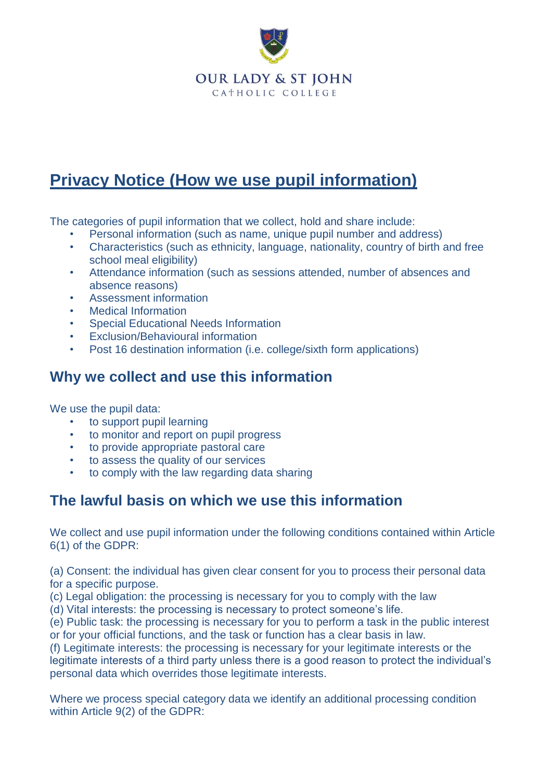

# **Privacy Notice (How we use pupil information)**

The categories of pupil information that we collect, hold and share include:

- Personal information (such as name, unique pupil number and address)
- Characteristics (such as ethnicity, language, nationality, country of birth and free school meal eligibility)
- Attendance information (such as sessions attended, number of absences and absence reasons)
- Assessment information
- Medical Information
- Special Educational Needs Information
- Exclusion/Behavioural information
- Post 16 destination information (i.e. college/sixth form applications)

### **Why we collect and use this information**

We use the pupil data:

- to support pupil learning
- to monitor and report on pupil progress
- to provide appropriate pastoral care
- to assess the quality of our services
- to comply with the law regarding data sharing

### **The lawful basis on which we use this information**

We collect and use pupil information under the following conditions contained within Article 6(1) of the GDPR:

(a) Consent: the individual has given clear consent for you to process their personal data for a specific purpose.

(c) Legal obligation: the processing is necessary for you to comply with the law

(d) Vital interests: the processing is necessary to protect someone's life.

(e) Public task: the processing is necessary for you to perform a task in the public interest or for your official functions, and the task or function has a clear basis in law.

(f) Legitimate interests: the processing is necessary for your legitimate interests or the legitimate interests of a third party unless there is a good reason to protect the individual's personal data which overrides those legitimate interests.

Where we process special category data we identify an additional processing condition within Article 9(2) of the GDPR: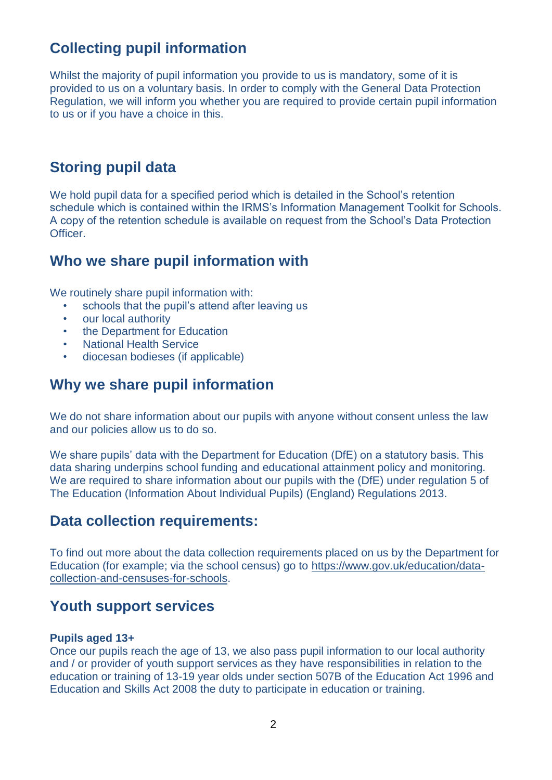## **Collecting pupil information**

Whilst the majority of pupil information you provide to us is mandatory, some of it is provided to us on a voluntary basis. In order to comply with the General Data Protection Regulation, we will inform you whether you are required to provide certain pupil information to us or if you have a choice in this.

### **Storing pupil data**

We hold pupil data for a specified period which is detailed in the School's retention schedule which is contained within the IRMS's Information Management Toolkit for Schools. A copy of the retention schedule is available on request from the School's Data Protection Officer.

### **Who we share pupil information with**

We routinely share pupil information with:

- schools that the pupil's attend after leaving us
- our local authority
- the Department for Education
- **National Health Service**
- diocesan bodieses (if applicable)

## **Why we share pupil information**

We do not share information about our pupils with anyone without consent unless the law and our policies allow us to do so.

We share pupils' data with the Department for Education (DfE) on a statutory basis. This data sharing underpins school funding and educational attainment policy and monitoring. We are required to share information about our pupils with the (DfE) under regulation 5 of The Education (Information About Individual Pupils) (England) Regulations 2013.

#### **Data collection requirements:**

To find out more about the data collection requirements placed on us by the Department for Education (for example; via the school census) go to [https://www.gov.uk/education/data](https://www.gov.uk/education/data-collection-and-censuses-for-schools)[collection-and-censuses-for-schools.](https://www.gov.uk/education/data-collection-and-censuses-for-schools)

#### **Youth support services**

#### **Pupils aged 13+**

Once our pupils reach the age of 13, we also pass pupil information to our local authority and / or provider of youth support services as they have responsibilities in relation to the education or training of 13-19 year olds under section 507B of the Education Act 1996 and Education and Skills Act 2008 the duty to participate in education or training.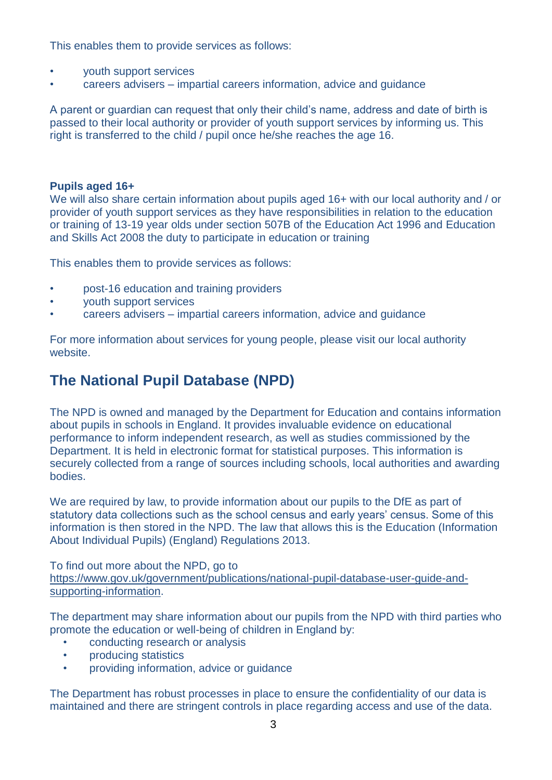This enables them to provide services as follows:

- youth support services
- careers advisers impartial careers information, advice and guidance

A parent or guardian can request that only their child's name, address and date of birth is passed to their local authority or provider of youth support services by informing us. This right is transferred to the child / pupil once he/she reaches the age 16.

#### **Pupils aged 16+**

We will also share certain information about pupils aged 16+ with our local authority and / or provider of youth support services as they have responsibilities in relation to the education or training of 13-19 year olds under section 507B of the Education Act 1996 and Education and Skills Act 2008 the duty to participate in education or training

This enables them to provide services as follows:

- post-16 education and training providers
- youth support services
- careers advisers impartial careers information, advice and guidance

For more information about services for young people, please visit our local authority website.

### **The National Pupil Database (NPD)**

The NPD is owned and managed by the Department for Education and contains information about pupils in schools in England. It provides invaluable evidence on educational performance to inform independent research, as well as studies commissioned by the Department. It is held in electronic format for statistical purposes. This information is securely collected from a range of sources including schools, local authorities and awarding bodies.

We are required by law, to provide information about our pupils to the DfE as part of statutory data collections such as the school census and early years' census. Some of this information is then stored in the NPD. The law that allows this is the Education (Information About Individual Pupils) (England) Regulations 2013.

To find out more about the NPD, go to

[https://www.gov.uk/government/publications/national-pupil-database-user-guide-and](https://www.gov.uk/government/publications/national-pupil-database-user-guide-and-supporting-information)[supporting-information.](https://www.gov.uk/government/publications/national-pupil-database-user-guide-and-supporting-information)

The department may share information about our pupils from the NPD with third parties who promote the education or well-being of children in England by:

- conducting research or analysis
- producing statistics
- providing information, advice or guidance

The Department has robust processes in place to ensure the confidentiality of our data is maintained and there are stringent controls in place regarding access and use of the data.